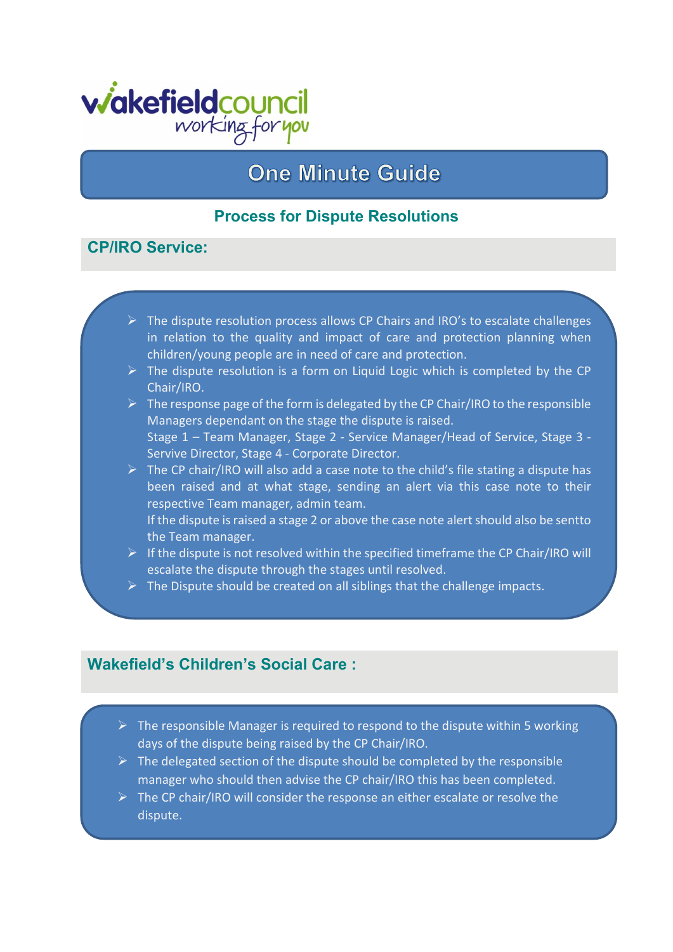

# **One Minute Guide**

### **Process for Dispute Resolutions**

### **CP/IRO Service:**

- $\triangleright$  The dispute resolution process allows CP Chairs and IRO's to escalate challenges in relation to the quality and impact of care and protection planning when children/young people are in need of care and protection.
- $\triangleright$  The dispute resolution is a form on Liquid Logic which is completed by the CP Chair/IRO.
- $\triangleright$  The response page of the form is delegated by the CP Chair/IRO to the responsible Managers dependant on the stage the dispute is raised. Stage 1 – Team Manager, Stage 2 - Service Manager/Head of Service, Stage 3 - Servive Director, Stage 4 - Corporate Director.
- $\triangleright$  The CP chair/IRO will also add a case note to the child's file stating a dispute has been raised and at what stage, sending an alert via this case note to their respective Team manager, admin team. If the dispute is raised a stage 2 or above the case note alert should also be sentto the Team manager.
- $\triangleright$  If the dispute is not resolved within the specified timeframe the CP Chair/IRO will escalate the dispute through the stages until resolved.
- $\triangleright$  The Dispute should be created on all siblings that the challenge impacts.

### **Wakefield's Children's Social Care :**

- $\triangleright$  The responsible Manager is required to respond to the dispute within 5 working days of the dispute being raised by the CP Chair/IRO.
- $\triangleright$  The delegated section of the dispute should be completed by the responsible manager who should then advise the CP chair/IRO this has been completed.
- $\triangleright$  The CP chair/IRO will consider the response an either escalate or resolve the dispute.